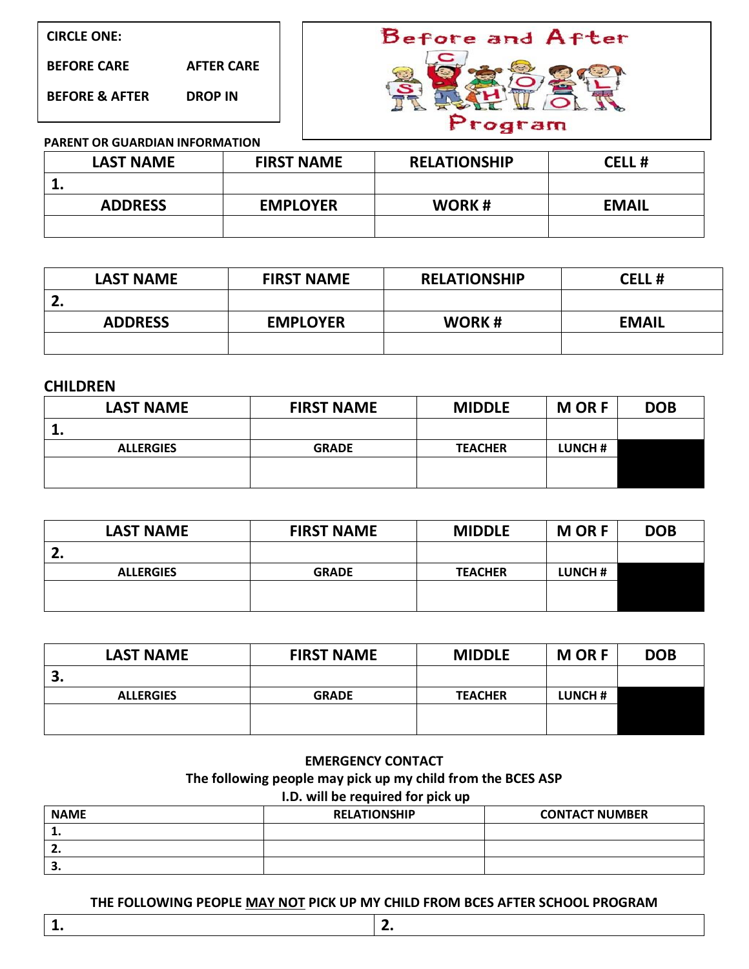**BEFORE CARE AFTER CARE**

**BEFORE & AFTER DROP IN**



### **PARENT OR GUARDIAN INFORMATION**

| <b>LAST NAME</b> | <b>FIRST NAME</b> | <b>RELATIONSHIP</b> | <b>CELL#</b> |  |
|------------------|-------------------|---------------------|--------------|--|
|                  |                   |                     |              |  |
| <b>ADDRESS</b>   | <b>EMPLOYER</b>   | <b>WORK#</b>        | <b>EMAIL</b> |  |
|                  |                   |                     |              |  |

| <b>LAST NAME</b> | <b>FIRST NAME</b> | <b>RELATIONSHIP</b> | <b>CELL#</b> |
|------------------|-------------------|---------------------|--------------|
| ، ے              |                   |                     |              |
| <b>ADDRESS</b>   | <b>EMPLOYER</b>   | WORK#               | <b>EMAIL</b> |
|                  |                   |                     |              |

## **CHILDREN**

| <b>LAST NAME</b> | <b>FIRST NAME</b> | <b>MIDDLE</b>  | <b>MORF</b> | <b>DOB</b> |
|------------------|-------------------|----------------|-------------|------------|
| --               |                   |                |             |            |
| <b>ALLERGIES</b> | <b>GRADE</b>      | <b>TEACHER</b> | LUNCH#      |            |
|                  |                   |                |             |            |
|                  |                   |                |             |            |

| <b>LAST NAME</b> | <b>FIRST NAME</b> | <b>MORF</b><br><b>MIDDLE</b> |         | <b>DOB</b> |
|------------------|-------------------|------------------------------|---------|------------|
|                  |                   |                              |         |            |
| <b>ALLERGIES</b> | <b>GRADE</b>      | <b>TEACHER</b>               | LUNCH # |            |
|                  |                   |                              |         |            |
|                  |                   |                              |         |            |

| <b>LAST NAME</b> | <b>FIRST NAME</b> | <b>MIDDLE</b>  | <b>MORF</b> | <b>DOB</b> |
|------------------|-------------------|----------------|-------------|------------|
| э.               |                   |                |             |            |
| <b>ALLERGIES</b> | <b>GRADE</b>      | <b>TEACHER</b> | LUNCH#      |            |
|                  |                   |                |             |            |
|                  |                   |                |             |            |

## **EMERGENCY CONTACT**

# **The following people may pick up my child from the BCES ASP**

# **I.D. will be required for pick up**

| <b>NAME</b> | <b>RELATIONSHIP</b> | <b>CONTACT NUMBER</b> |  |  |
|-------------|---------------------|-----------------------|--|--|
| . .         |                     |                       |  |  |
|             |                     |                       |  |  |
| . .         |                     |                       |  |  |

#### **THE FOLLOWING PEOPLE MAY NOT PICK UP MY CHILD FROM BCES AFTER SCHOOL PROGRAM**

**1. 2.**